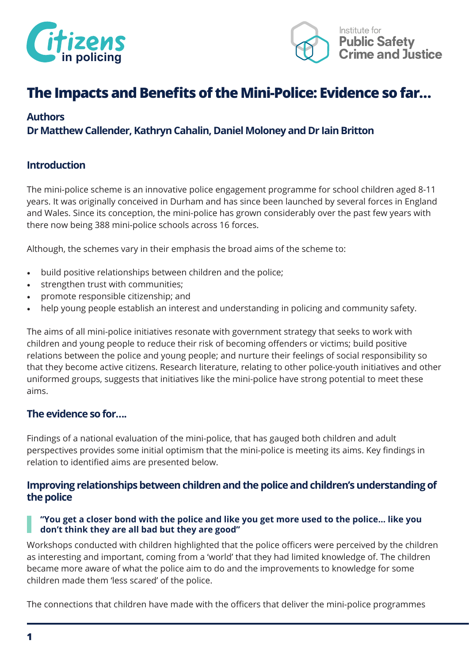



## **The Impacts and Benefits of the Mini-Police: Evidence so far…**

### **Authors**

### **Dr Matthew Callender, Kathryn Cahalin, Daniel Moloney and Dr Iain Britton**

### **Introduction**

The mini-police scheme is an innovative police engagement programme for school children aged 8-11 years. It was originally conceived in Durham and has since been launched by several forces in England and Wales. Since its conception, the mini-police has grown considerably over the past few years with there now being 388 mini-police schools across 16 forces.

Although, the schemes vary in their emphasis the broad aims of the scheme to:

- build positive relationships between children and the police;
- strengthen trust with communities;
- promote responsible citizenship; and
- help young people establish an interest and understanding in policing and community safety.

The aims of all mini-police initiatives resonate with government strategy that seeks to work with children and young people to reduce their risk of becoming offenders or victims; build positive relations between the police and young people; and nurture their feelings of social responsibility so that they become active citizens. Research literature, relating to other police-youth initiatives and other uniformed groups, suggests that initiatives like the mini-police have strong potential to meet these aims.

### **The evidence so for….**

Findings of a national evaluation of the mini-police, that has gauged both children and adult perspectives provides some initial optimism that the mini-police is meeting its aims. Key findings in relation to identified aims are presented below.

### **Improving relationships between children and the police and children's understanding of the police**

### **"You get a closer bond with the police and like you get more used to the police… like you don't think they are all bad but they are good"**

Workshops conducted with children highlighted that the police officers were perceived by the children as interesting and important, coming from a 'world' that they had limited knowledge of. The children became more aware of what the police aim to do and the improvements to knowledge for some children made them 'less scared' of the police.

The connections that children have made with the officers that deliver the mini-police programmes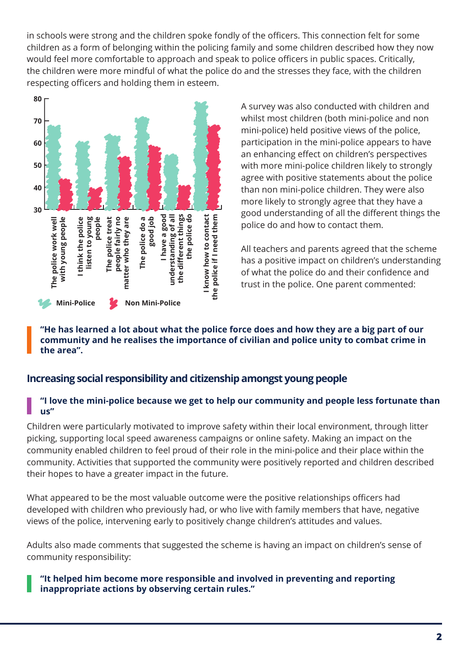in schools were strong and the children spoke fondly of the officers. This connection felt for some children as a form of belonging within the policing family and some children described how they now would feel more comfortable to approach and speak to police officers in public spaces. Critically, the children were more mindful of what the police do and the stresses they face, with the children respecting officers and holding them in esteem.



A survey was also conducted with children and whilst most children (both mini-police and non mini-police) held positive views of the police, participation in the mini-police appears to have an enhancing effect on children's perspectives with more mini-police children likely to strongly agree with positive statements about the police than non mini-police children. They were also more likely to strongly agree that they have a good understanding of all the different things the police do and how to contact them.

All teachers and parents agreed that the scheme has a positive impact on children's understanding of what the police do and their confidence and trust in the police. One parent commented:

### **"He has learned a lot about what the police force does and how they are a big part of our community and he realises the importance of civilian and police unity to combat crime in the area".**

### **Increasing social responsibility and citizenship amongst young people**

### **"I love the mini-police because we get to help our community and people less fortunate than us"**

Children were particularly motivated to improve safety within their local environment, through litter picking, supporting local speed awareness campaigns or online safety. Making an impact on the community enabled children to feel proud of their role in the mini-police and their place within the community. Activities that supported the community were positively reported and children described their hopes to have a greater impact in the future.

What appeared to be the most valuable outcome were the positive relationships officers had developed with children who previously had, or who live with family members that have, negative views of the police, intervening early to positively change children's attitudes and values.

Adults also made comments that suggested the scheme is having an impact on children's sense of community responsibility:

### **"It helped him become more responsible and involved in preventing and reporting inappropriate actions by observing certain rules."**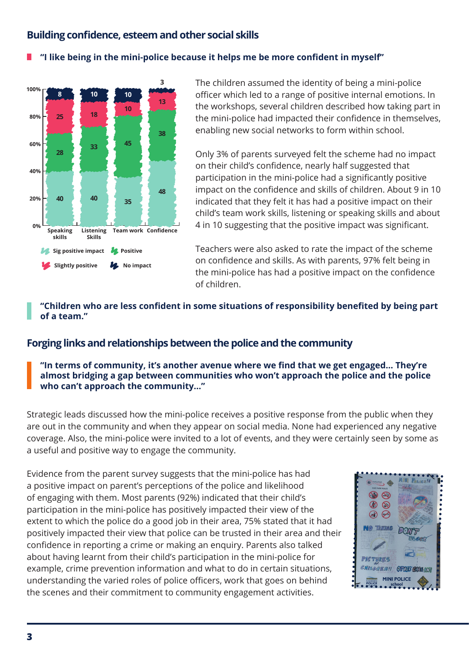### **Building confidence, esteem and other social skills**

#### **"I like being in the mini-police because it helps me be more confident in myself"** П



The children assumed the identity of being a mini-police officer which led to a range of positive internal emotions. In the workshops, several children described how taking part in the mini-police had impacted their confidence in themselves, enabling new social networks to form within school.

Only 3% of parents surveyed felt the scheme had no impact on their child's confidence, nearly half suggested that participation in the mini-police had a significantly positive impact on the confidence and skills of children. About 9 in 10 indicated that they felt it has had a positive impact on their child's team work skills, listening or speaking skills and about 4 in 10 suggesting that the positive impact was significant.

Teachers were also asked to rate the impact of the scheme on confidence and skills. As with parents, 97% felt being in the mini-police has had a positive impact on the confidence of children.

### **"Children who are less confident in some situations of responsibility benefited by being part of a team."**

### **Forging links and relationships between the police and the community**

### **"In terms of community, it's another avenue where we find that we get engaged… They're almost bridging a gap between communities who won't approach the police and the police who can't approach the community…"**

Strategic leads discussed how the mini-police receives a positive response from the public when they are out in the community and when they appear on social media. None had experienced any negative coverage. Also, the mini-police were invited to a lot of events, and they were certainly seen by some as a useful and positive way to engage the community.

Evidence from the parent survey suggests that the mini-police has had a positive impact on parent's perceptions of the police and likelihood of engaging with them. Most parents (92%) indicated that their child's participation in the mini-police has positively impacted their view of the extent to which the police do a good job in their area, 75% stated that it had positively impacted their view that police can be trusted in their area and their confidence in reporting a crime or making an enquiry. Parents also talked about having learnt from their child's participation in the mini-police for example, crime prevention information and what to do in certain situations, understanding the varied roles of police officers, work that goes on behind the scenes and their commitment to community engagement activities.